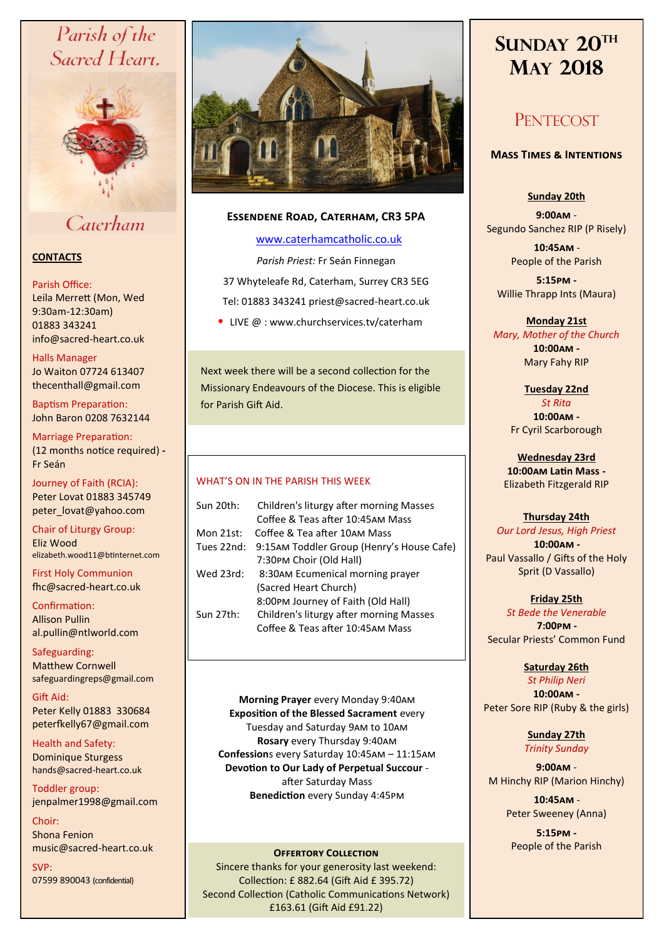# Parish of the Sacred Heart,



Caterham

# **CONTACTS**

# Parish Office:

Leila Merrett (Mon, Wed 9:30am-12:30am) 01883 343241 info@sacred-heart.co.uk .

# Halls Manager

Jo Waiton 07724 613407 thecenthall@gmail.com

Baptism Preparation: John Baron 0208 7632144

Marriage Preparation: (12 months notice required) **-** Fr Seán

Journey of Faith (RCIA): Peter Lovat 01883 345749 peter\_lovat@yahoo.com

Chair of Liturgy Group: Eliz Wood elizabeth.wood11@btinternet.com

First Holy Communion fhc@sacred-heart.co.uk

Confirmation: Allison Pullin al.pullin@ntlworld.com

Safeguarding: Matthew Cornwell safeguardingreps@gmail.com

Gift Aid: Peter Kelly 01883 330684 peterfkelly67@gmail.com

Health and Safety: Dominique Sturgess hands@sacred-heart.co.uk

Toddler group: jenpalmer1998@gmail.com

Choir: Shona Fenion music@sacred-heart.co.uk

SVP: 07599 890043 (confidential)



# **Essendene Road, Caterham, CR3 5PA**

# [www.caterhamcatholic.co.uk](http://Www.caterhamcatholic.co.uk)

*Parish Priest:* Fr Seán Finnegan 37 Whyteleafe Rd, Caterham, Surrey CR3 5EG Tel: 01883 343241 priest@sacred-heart.co.uk

• LIVE  $@:www.churchservices.tv/caterham$ 

Next week there will be a second collection for the Missionary Endeavours of the Diocese. This is eligible for Parish Gift Aid.

# WHAT'S ON IN THE PARISH THIS WEEK.

| Sun 20th:  | Children's liturgy after morning Masses<br>Coffee & Teas after 10:45AM Mass |
|------------|-----------------------------------------------------------------------------|
| Mon 21st:  | Coffee & Tea after 10AM Mass                                                |
| Tues 22nd: | 9:15AM Toddler Group (Henry's House Cafe)                                   |
|            | 7:30PM Choir (Old Hall)                                                     |
| Wed 23rd:  | 8:30AM Ecumenical morning prayer                                            |
|            | (Sacred Heart Church)                                                       |
|            | 8:00PM Journey of Faith (Old Hall)                                          |
| Sun 27th:  | Children's liturgy after morning Masses                                     |
|            | Coffee & Teas after 10:45AM Mass                                            |
|            |                                                                             |

**Morning Prayer** every Monday 9:40am **Exposition of the Blessed Sacrament** every Tuesday and Saturday 9am to 10am **Rosary** every Thursday 9:40am **Confession**s every Saturday 10:45am – 11:15am **Devotion to Our Lady of Perpetual Succour**  after Saturday Mass **Benediction** every Sunday 4:45pm

Sincere thanks for your generosity last weekend: Collection: £ 882.64 (Gift Aid £ 395.72) Second Collection (Catholic Communications Network) £163.61 (Gift Aid £91.22)

# **SUNDAY 20TH MAY 2018**

# **PENTECOST**

# **Mass Times & Intentions**

**Sunday 20th**

**9:00am** - Segundo Sanchez RIP (P Risely)

> .**10:45am** - People of the Parish

**5:15pm -** Willie Thrapp Ints (Maura)

**Monday 21st**  *Mary, Mother of the Church* **10:00am -**  Mary Fahy RIP

> **Tuesday 22nd**  *St Rita* **10:00am -** Fr Cyril Scarborough

**Wednesday 23rd 10:00am Latin Mass -** Elizabeth Fitzgerald RIP

# **Thursday 24th**

*Our Lord Jesus, High Priest* .**10:00am -** Paul Vassallo / Gifts of the Holy Sprit (D Vassallo)

**Friday 25th** 

*St Bede the Venerable* .**7:00pm -**  Secular Priests' Common Fund

> **Saturday 26th** *St Philip Neri*

**10:00am -**  Peter Sore RIP (Ruby & the girls)

# **Sunday 27th** *Trinity Sunday*

**9:00am** - M Hinchy RIP (Marion Hinchy)

> .**10:45am** - Peter Sweeney (Anna)

**5:15pm - PEOPLE OFFERTORY COLLECTION**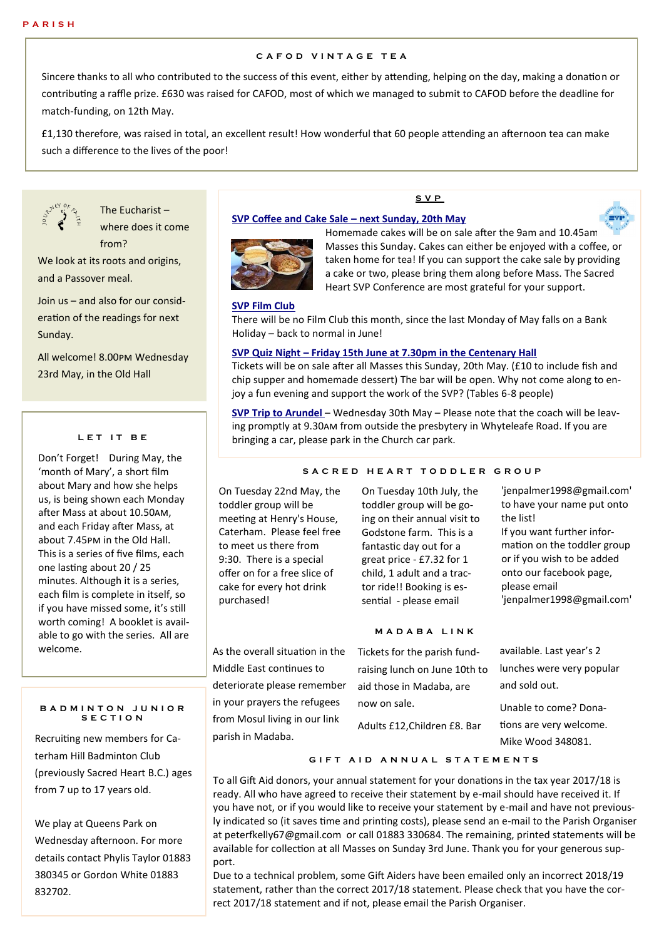# **C A F O D V I N T A G E T E A**

Sincere thanks to all who contributed to the success of this event, either by attending, helping on the day, making a donation or contributing a raffle prize. £630 was raised for CAFOD, most of which we managed to submit to CAFOD before the deadline for match-funding, on 12th May.

£1,130 therefore, was raised in total, an excellent result! How wonderful that 60 people attending an afternoon tea can make such a difference to the lives of the poor!



The Eucharist – where does it come from?

We look at its roots and origins, and a Passover meal.

Join us – and also for our consideration of the readings for next Sunday.

All welcome! 8.00pm Wednesday 23rd May, in the Old Hall

#### **L E T I T B E**

Don't Forget! During May, the 'month of Mary', a short film about Mary and how she helps us, is being shown each Monday after Mass at about 10.50am, and each Friday after Mass, at about 7.45pm in the Old Hall. This is a series of five films, each one lasting about 20 / 25 minutes. Although it is a series, each film is complete in itself, so if you have missed some, it's still worth coming! A booklet is available to go with the series. All are welcome.

#### **B A D M I N T O N J U N I O R S E C T I O N**

Recruiting new members for Caterham Hill Badminton Club (previously Sacred Heart B.C.) ages from 7 up to 17 years old.

We play at Queens Park on Wednesday afternoon. For more details contact Phylis Taylor 01883 380345 or Gordon White 01883 832702.

# **S V P**

#### **SVP Coffee and Cake Sale – next Sunday, 20th May**



 $=$ vr Homemade cakes will be on sale after the 9am and 10.45am Masses this Sunday. Cakes can either be enjoyed with a coffee, or taken home for tea! If you can support the cake sale by providing a cake or two, please bring them along before Mass. The Sacred

Heart SVP Conference are most grateful for your support.

#### **SVP Film Club**

There will be no Film Club this month, since the last Monday of May falls on a Bank Holiday – back to normal in June!

#### **SVP Quiz Night – Friday 15th June at 7.30pm in the Centenary Hall**

Tickets will be on sale after all Masses this Sunday, 20th May. (£10 to include fish and chip supper and homemade dessert) The bar will be open. Why not come along to enjoy a fun evening and support the work of the SVP? (Tables 6-8 people)

**SVP Trip to Arundel** – Wednesday 30th May – Please note that the coach will be leaving promptly at 9.30am from outside the presbytery in Whyteleafe Road. If you are bringing a car, please park in the Church car park.

### S A C R E D H E A R T T O D D L E R G R O U P

On Tuesday 22nd May, the toddler group will be meeting at Henry's House, Caterham. Please feel free to meet us there from 9:30. There is a special offer on for a free slice of cake for every hot drink purchased!

As the overall situation in the Middle East continues to deteriorate please remember in your prayers the refugees from Mosul living in our link

parish in Madaba.

On Tuesday 10th July, the toddler group will be going on their annual visit to Godstone farm. This is a fantastic day out for a great price - £7.32 for 1 child, 1 adult and a tractor ride!! Booking is essential - please email

#### **M A D A B A L I N K**

Tickets for the parish fundraising lunch on June 10th to aid those in Madaba, are now on sale. Adults £12,Children £8. Bar available. Last year's 2 lunches were very popular and sold out. Unable to come? Donations are very welcome. Mike Wood 348081.

'jenpalmer1998@gmail.com' to have your name put onto

'jenpalmer1998@gmail.com'

If you want further information on the toddler group or if you wish to be added onto our facebook page,

the list!

please email

#### **G I F T A I D A N N U A L S T A T E M E N T S**

To all Gift Aid donors, your annual statement for your donations in the tax year 2017/18 is ready. All who have agreed to receive their statement by e-mail should have received it. If you have not, or if you would like to receive your statement by e-mail and have not previously indicated so (it saves time and printing costs), please send an e-mail to the Parish Organiser at peterfkelly67@gmail.com or call 01883 330684. The remaining, printed statements will be available for collection at all Masses on Sunday 3rd June. Thank you for your generous support.

Due to a technical problem, some Gift Aiders have been emailed only an incorrect 2018/19 statement, rather than the correct 2017/18 statement. Please check that you have the correct 2017/18 statement and if not, please email the Parish Organiser.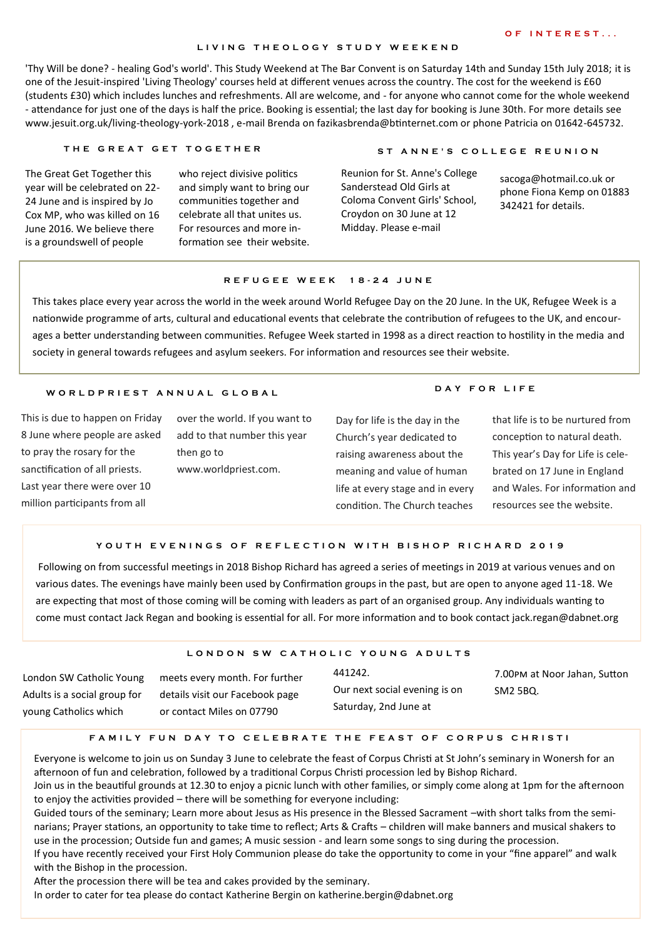#### **O F I N T E R E S T . . .**

### **L I V I N G T H E O L O G Y S T U D Y W E E K E N D**

'Thy Will be done? - healing God's world'. This Study Weekend at The Bar Convent is on Saturday 14th and Sunday 15th July 2018; it is one of the Jesuit-inspired 'Living Theology' courses held at different venues across the country. The cost for the weekend is £60 (students £30) which includes lunches and refreshments. All are welcome, and - for anyone who cannot come for the whole weekend - attendance for just one of the days is half the price. Booking is essential; the last day for booking is June 30th. For more details see www.jesuit.org.uk/living-theology-york-2018 , e-mail Brenda on fazikasbrenda@btinternet.com or phone Patricia on 01642-645732.

#### **T H E G R E A T G E T T O G E T H ER S T A N N E ' S C O L L E G E R E U N I O N**

The Great Get Together this year will be celebrated on 22- 24 June and is inspired by Jo Cox MP, who was killed on 16 June 2016. We believe there is a groundswell of people

who reject divisive politics and simply want to bring our communities together and celebrate all that unites us. For resources and more information see their website.

**D A Y F O R L I F E**

Reunion for St. Anne's College Sanderstead Old Girls at Coloma Convent Girls' School, Croydon on 30 June at 12 Midday. Please e-mail

sacoga@hotmail.co.uk or phone Fiona Kemp on 01883 342421 for details.

# **R E F U G E E W E E K 1 8 - 2 4 J U N E**

This takes place every year across the world in the week around World Refugee Day on the 20 June. In the UK, Refugee Week is a nationwide programme of arts, cultural and educational events that celebrate the contribution of refugees to the UK, and encourages a better understanding between communities. Refugee Week started in 1998 as a direct reaction to hostility in the media and society in general towards refugees and asylum seekers. For information and resources see their website.

#### **W O R L D P R I E S T A N N U A L G L O B A L**

This is due to happen on Friday 8 June where people are asked to pray the rosary for the sanctification of all priests. Last year there were over 10 million participants from all

over the world. If you want to add to that number this year then go to www.worldpriest.com.

Day for life is the day in the Church's year dedicated to raising awareness about the meaning and value of human life at every stage and in every condition. The Church teaches

that life is to be nurtured from conception to natural death. This year's Day for Life is celebrated on 17 June in England and Wales. For information and resources see the website.

#### **Y O U T H E V E N I N G S O F R E F L E C T I O N W I T H B I S H O P R I C H A R D 2 0 1 9**

Following on from successful meetings in 2018 Bishop Richard has agreed a series of meetings in 2019 at various venues and on various dates. The evenings have mainly been used by Confirmation groups in the past, but are open to anyone aged 11-18. We are expecting that most of those coming will be coming with leaders as part of an organised group. Any individuals wanting to come must contact Jack Regan and booking is essential for all. For more information and to book contact jack.regan@dabnet.org

# LONDON SW CATHOLIC YOUNG ADULTS

London SW Catholic Young Adults is a social group for young Catholics which

meets every month. For further details visit our Facebook page or contact Miles on 07790

441242. Our next social evening is on Saturday, 2nd June at

7.00pm at Noor Jahan, Sutton SM2 5BQ.

# **F A M I L Y F U N D A Y T O C E L E B R A T E T H E F E A S T O F C O R P U S C H R I S T I**

Everyone is welcome to join us on Sunday 3 June to celebrate the feast of Corpus Christi at St John's seminary in Wonersh for an afternoon of fun and celebration, followed by a traditional Corpus Christi procession led by Bishop Richard.

Join us in the beautiful grounds at 12.30 to enjoy a picnic lunch with other families, or simply come along at 1pm for the afternoon to enjoy the activities provided – there will be something for everyone including:

Guided tours of the seminary; Learn more about Jesus as His presence in the Blessed Sacrament –with short talks from the seminarians; Prayer stations, an opportunity to take time to reflect; Arts & Crafts – children will make banners and musical shakers to use in the procession; Outside fun and games; A music session - and learn some songs to sing during the procession.

If you have recently received your First Holy Communion please do take the opportunity to come in your "fine apparel" and walk with the Bishop in the procession.

After the procession there will be tea and cakes provided by the seminary.

In order to cater for tea please do contact Katherine Bergin on katherine.bergin@dabnet.org